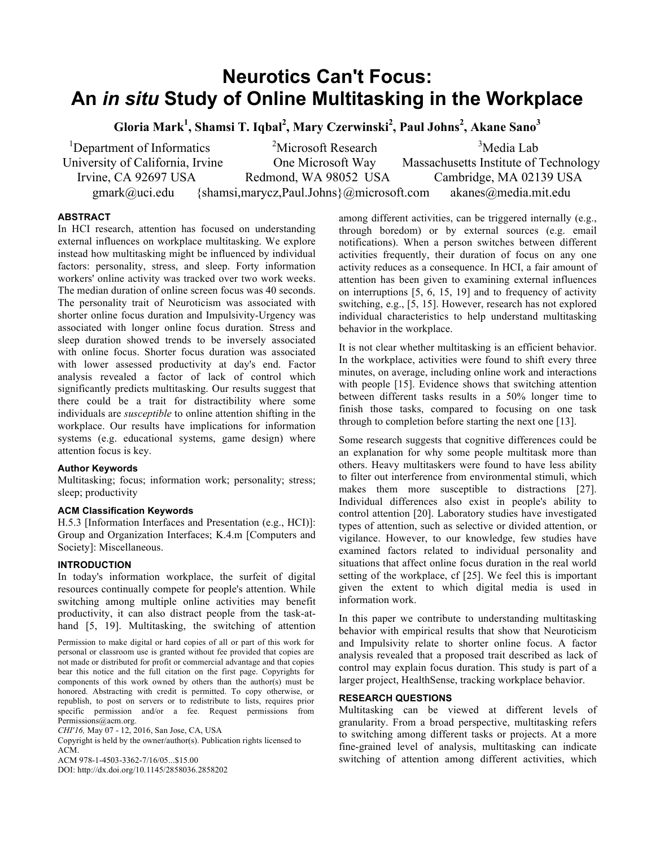# **Neurotics Can't Focus: An** *in situ* **Study of Online Multitasking in the Workplace**

**Gloria Mark<sup>1</sup> , Shamsi T. Iqbal2 , Mary Czerwinski2 , Paul Johns<sup>2</sup> , Akane Sano3**

 $1$ Department of Informatics  $2$  $<sup>2</sup>$ Microsoft Research</sup> <sup>3</sup>Media Lab University of California, Irvine One Microsoft Way Massachusetts Institute of Technology Irvine, CA 92697 USA Redmond, WA 98052 USA Cambridge, MA 02139 USA gmark@uci.edu {shamsi,marycz,Paul.Johns}@microsoft.com akanes@media.mit.edu

# **ABSTRACT**

In HCI research, attention has focused on understanding external influences on workplace multitasking. We explore instead how multitasking might be influenced by individual factors: personality, stress, and sleep. Forty information workers' online activity was tracked over two work weeks. The median duration of online screen focus was 40 seconds. The personality trait of Neuroticism was associated with shorter online focus duration and Impulsivity-Urgency was associated with longer online focus duration. Stress and sleep duration showed trends to be inversely associated with online focus. Shorter focus duration was associated with lower assessed productivity at day's end. Factor analysis revealed a factor of lack of control which significantly predicts multitasking. Our results suggest that there could be a trait for distractibility where some individuals are *susceptible* to online attention shifting in the workplace. Our results have implications for information systems (e.g. educational systems, game design) where attention focus is key.

## **Author Keywords**

Multitasking; focus; information work; personality; stress; sleep; productivity

## **ACM Classification Keywords**

H.5.3 [Information Interfaces and Presentation (e.g., HCI)]: Group and Organization Interfaces; K.4.m [Computers and Society]: Miscellaneous.

# **INTRODUCTION**

In today's information workplace, the surfeit of digital resources continually compete for people's attention. While switching among multiple online activities may benefit productivity, it can also distract people from the task-athand [5, 19]. Multitasking, the switching of attention

Permission to make digital or hard copies of all or part of this work for personal or classroom use is granted without fee provided that copies are not made or distributed for profit or commercial advantage and that copies bear this notice and the full citation on the first page. Copyrights for components of this work owned by others than the author(s) must be honored. Abstracting with credit is permitted. To copy otherwise, or republish, to post on servers or to redistribute to lists, requires prior specific permission and/or a fee. Request permissions from Permissions@acm.org.

*CHI'16,* May 07 - 12, 2016, San Jose, CA, USA

Copyright is held by the owner/author(s). Publication rights licensed to ACM.

ACM 978-1-4503-3362-7/16/05...\$15.00

DOI: http://dx.doi.org/10.1145/2858036.2858202

among different activities, can be triggered internally (e.g., through boredom) or by external sources (e.g. email notifications). When a person switches between different activities frequently, their duration of focus on any one activity reduces as a consequence. In HCI, a fair amount of attention has been given to examining external influences on interruptions [5, 6, 15, 19] and to frequency of activity switching, e.g., [5, 15]. However, research has not explored individual characteristics to help understand multitasking behavior in the workplace.

It is not clear whether multitasking is an efficient behavior. In the workplace, activities were found to shift every three minutes, on average, including online work and interactions with people [15]. Evidence shows that switching attention between different tasks results in a 50% longer time to finish those tasks, compared to focusing on one task through to completion before starting the next one [13].

Some research suggests that cognitive differences could be an explanation for why some people multitask more than others. Heavy multitaskers were found to have less ability to filter out interference from environmental stimuli, which makes them more susceptible to distractions [27]. Individual differences also exist in people's ability to control attention [20]. Laboratory studies have investigated types of attention, such as selective or divided attention, or vigilance. However, to our knowledge, few studies have examined factors related to individual personality and situations that affect online focus duration in the real world setting of the workplace, cf [25]. We feel this is important given the extent to which digital media is used in information work.

In this paper we contribute to understanding multitasking behavior with empirical results that show that Neuroticism and Impulsivity relate to shorter online focus. A factor analysis revealed that a proposed trait described as lack of control may explain focus duration. This study is part of a larger project, HealthSense, tracking workplace behavior.

## **RESEARCH QUESTIONS**

Multitasking can be viewed at different levels of granularity. From a broad perspective, multitasking refers to switching among different tasks or projects. At a more fine-grained level of analysis, multitasking can indicate switching of attention among different activities, which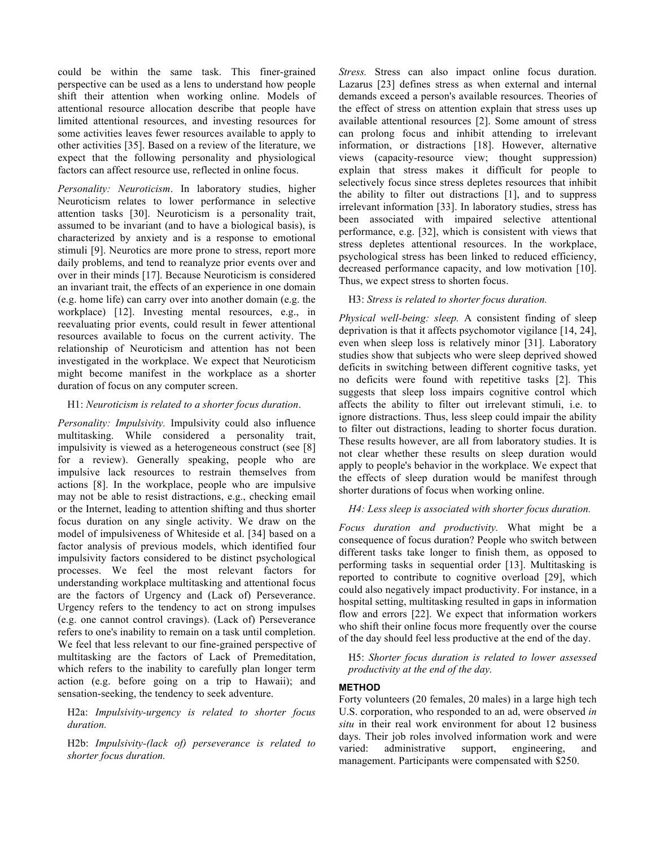could be within the same task. This finer-grained perspective can be used as a lens to understand how people shift their attention when working online. Models of attentional resource allocation describe that people have limited attentional resources, and investing resources for some activities leaves fewer resources available to apply to other activities [35]. Based on a review of the literature, we expect that the following personality and physiological factors can affect resource use, reflected in online focus.

*Personality: Neuroticism*. In laboratory studies, higher Neuroticism relates to lower performance in selective attention tasks [30]. Neuroticism is a personality trait, assumed to be invariant (and to have a biological basis), is characterized by anxiety and is a response to emotional stimuli [9]. Neurotics are more prone to stress, report more daily problems, and tend to reanalyze prior events over and over in their minds [17]. Because Neuroticism is considered an invariant trait, the effects of an experience in one domain (e.g. home life) can carry over into another domain (e.g. the workplace) [12]. Investing mental resources, e.g., in reevaluating prior events, could result in fewer attentional resources available to focus on the current activity. The relationship of Neuroticism and attention has not been investigated in the workplace. We expect that Neuroticism might become manifest in the workplace as a shorter duration of focus on any computer screen.

#### H1: *Neuroticism is related to a shorter focus duration*.

*Personality: Impulsivity.* Impulsivity could also influence multitasking. While considered a personality trait, impulsivity is viewed as a heterogeneous construct (see [8] for a review). Generally speaking, people who are impulsive lack resources to restrain themselves from actions [8]. In the workplace, people who are impulsive may not be able to resist distractions, e.g., checking email or the Internet, leading to attention shifting and thus shorter focus duration on any single activity. We draw on the model of impulsiveness of Whiteside et al. [34] based on a factor analysis of previous models, which identified four impulsivity factors considered to be distinct psychological processes. We feel the most relevant factors for understanding workplace multitasking and attentional focus are the factors of Urgency and (Lack of) Perseverance. Urgency refers to the tendency to act on strong impulses (e.g. one cannot control cravings). (Lack of) Perseverance refers to one's inability to remain on a task until completion. We feel that less relevant to our fine-grained perspective of multitasking are the factors of Lack of Premeditation, which refers to the inability to carefully plan longer term action (e.g. before going on a trip to Hawaii); and sensation-seeking, the tendency to seek adventure.

H2a: *Impulsivity-urgency is related to shorter focus duration.*

H2b: *Impulsivity-(lack of) perseverance is related to shorter focus duration.*

*Stress.* Stress can also impact online focus duration. Lazarus [23] defines stress as when external and internal demands exceed a person's available resources. Theories of the effect of stress on attention explain that stress uses up available attentional resources [2]. Some amount of stress can prolong focus and inhibit attending to irrelevant information, or distractions [18]. However, alternative views (capacity-resource view; thought suppression) explain that stress makes it difficult for people to selectively focus since stress depletes resources that inhibit the ability to filter out distractions [1], and to suppress irrelevant information [33]. In laboratory studies, stress has been associated with impaired selective attentional performance, e.g. [32], which is consistent with views that stress depletes attentional resources. In the workplace, psychological stress has been linked to reduced efficiency, decreased performance capacity, and low motivation [10]. Thus, we expect stress to shorten focus.

## H3: *Stress is related to shorter focus duration.*

*Physical well-being: sleep.* A consistent finding of sleep deprivation is that it affects psychomotor vigilance [14, 24], even when sleep loss is relatively minor [31]. Laboratory studies show that subjects who were sleep deprived showed deficits in switching between different cognitive tasks, yet no deficits were found with repetitive tasks [2]. This suggests that sleep loss impairs cognitive control which affects the ability to filter out irrelevant stimuli, i.e. to ignore distractions. Thus, less sleep could impair the ability to filter out distractions, leading to shorter focus duration. These results however, are all from laboratory studies. It is not clear whether these results on sleep duration would apply to people's behavior in the workplace. We expect that the effects of sleep duration would be manifest through shorter durations of focus when working online.

## *H4: Less sleep is associated with shorter focus duration.*

*Focus duration and productivity.* What might be a consequence of focus duration? People who switch between different tasks take longer to finish them, as opposed to performing tasks in sequential order [13]. Multitasking is reported to contribute to cognitive overload [29], which could also negatively impact productivity. For instance, in a hospital setting, multitasking resulted in gaps in information flow and errors [22]. We expect that information workers who shift their online focus more frequently over the course of the day should feel less productive at the end of the day.

H5: *Shorter focus duration is related to lower assessed productivity at the end of the day.*

## **METHOD**

Forty volunteers (20 females, 20 males) in a large high tech U.S. corporation, who responded to an ad, were observed *in situ* in their real work environment for about 12 business days. Their job roles involved information work and were varied: administrative support, engineering, and management. Participants were compensated with \$250.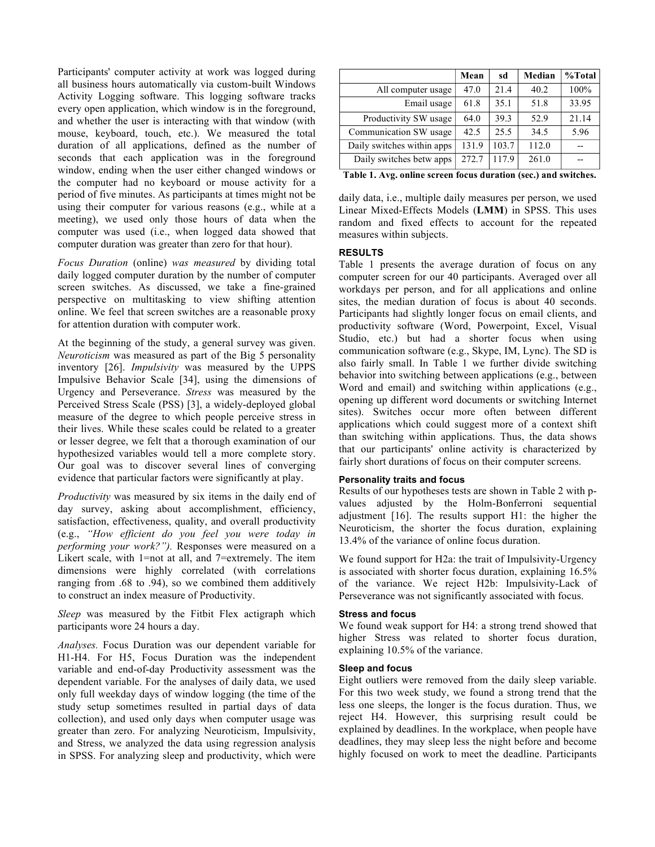Participants' computer activity at work was logged during all business hours automatically via custom-built Windows Activity Logging software. This logging software tracks every open application, which window is in the foreground, and whether the user is interacting with that window (with mouse, keyboard, touch, etc.). We measured the total duration of all applications, defined as the number of seconds that each application was in the foreground window, ending when the user either changed windows or the computer had no keyboard or mouse activity for a period of five minutes. As participants at times might not be using their computer for various reasons (e.g., while at a meeting), we used only those hours of data when the computer was used (i.e., when logged data showed that computer duration was greater than zero for that hour).

*Focus Duration* (online) *was measured* by dividing total daily logged computer duration by the number of computer screen switches. As discussed, we take a fine-grained perspective on multitasking to view shifting attention online. We feel that screen switches are a reasonable proxy for attention duration with computer work.

At the beginning of the study, a general survey was given. *Neuroticism* was measured as part of the Big 5 personality inventory [26]. *Impulsivity* was measured by the UPPS Impulsive Behavior Scale [34], using the dimensions of Urgency and Perseverance. *Stress* was measured by the Perceived Stress Scale (PSS) [3], a widely-deployed global measure of the degree to which people perceive stress in their lives. While these scales could be related to a greater or lesser degree, we felt that a thorough examination of our hypothesized variables would tell a more complete story. Our goal was to discover several lines of converging evidence that particular factors were significantly at play.

*Productivity* was measured by six items in the daily end of day survey, asking about accomplishment, efficiency, satisfaction, effectiveness, quality, and overall productivity (e.g., *"How efficient do you feel you were today in performing your work?").* Responses were measured on a Likert scale, with 1=not at all, and 7=extremely. The item dimensions were highly correlated (with correlations ranging from .68 to .94), so we combined them additively to construct an index measure of Productivity.

*Sleep* was measured by the Fitbit Flex actigraph which participants wore 24 hours a day.

*Analyses.* Focus Duration was our dependent variable for H1-H4. For H5, Focus Duration was the independent variable and end-of-day Productivity assessment was the dependent variable. For the analyses of daily data, we used only full weekday days of window logging (the time of the study setup sometimes resulted in partial days of data collection), and used only days when computer usage was greater than zero. For analyzing Neuroticism, Impulsivity, and Stress, we analyzed the data using regression analysis in SPSS. For analyzing sleep and productivity, which were

|                            | Mean  | sd    | Median | %Total |
|----------------------------|-------|-------|--------|--------|
| All computer usage         | 47.0  | 21.4  | 40.2   | 100%   |
| Email usage                | 61.8  | 35.1  | 51.8   | 33.95  |
| Productivity SW usage      | 64.0  | 39.3  | 52.9   | 21.14  |
| Communication SW usage     | 42.5  | 25.5  | 34.5   | 5.96   |
| Daily switches within apps | 131.9 | 103.7 | 112.0  |        |
| Daily switches betw apps   | 272.7 | 117.9 | 261.0  |        |

**Table 1. Avg. online screen focus duration (sec.) and switches.** 

daily data, i.e., multiple daily measures per person, we used Linear Mixed-Effects Models (**LMM**) in SPSS. This uses random and fixed effects to account for the repeated measures within subjects.

## **RESULTS**

Table 1 presents the average duration of focus on any computer screen for our 40 participants. Averaged over all workdays per person, and for all applications and online sites, the median duration of focus is about 40 seconds. Participants had slightly longer focus on email clients, and productivity software (Word, Powerpoint, Excel, Visual Studio, etc.) but had a shorter focus when using communication software (e.g., Skype, IM, Lync). The SD is also fairly small. In Table 1 we further divide switching behavior into switching between applications (e.g., between Word and email) and switching within applications (e.g., opening up different word documents or switching Internet sites). Switches occur more often between different applications which could suggest more of a context shift than switching within applications. Thus, the data shows that our participants' online activity is characterized by fairly short durations of focus on their computer screens.

#### **Personality traits and focus**

Results of our hypotheses tests are shown in Table 2 with pvalues adjusted by the Holm-Bonferroni sequential adjustment [16]. The results support H1: the higher the Neuroticism, the shorter the focus duration, explaining 13.4% of the variance of online focus duration.

We found support for H2a: the trait of Impulsivity-Urgency is associated with shorter focus duration, explaining 16.5% of the variance. We reject H2b: Impulsivity-Lack of Perseverance was not significantly associated with focus.

#### **Stress and focus**

We found weak support for H4: a strong trend showed that higher Stress was related to shorter focus duration, explaining 10.5% of the variance.

#### **Sleep and focus**

Eight outliers were removed from the daily sleep variable. For this two week study, we found a strong trend that the less one sleeps, the longer is the focus duration. Thus, we reject H4. However, this surprising result could be explained by deadlines. In the workplace, when people have deadlines, they may sleep less the night before and become highly focused on work to meet the deadline. Participants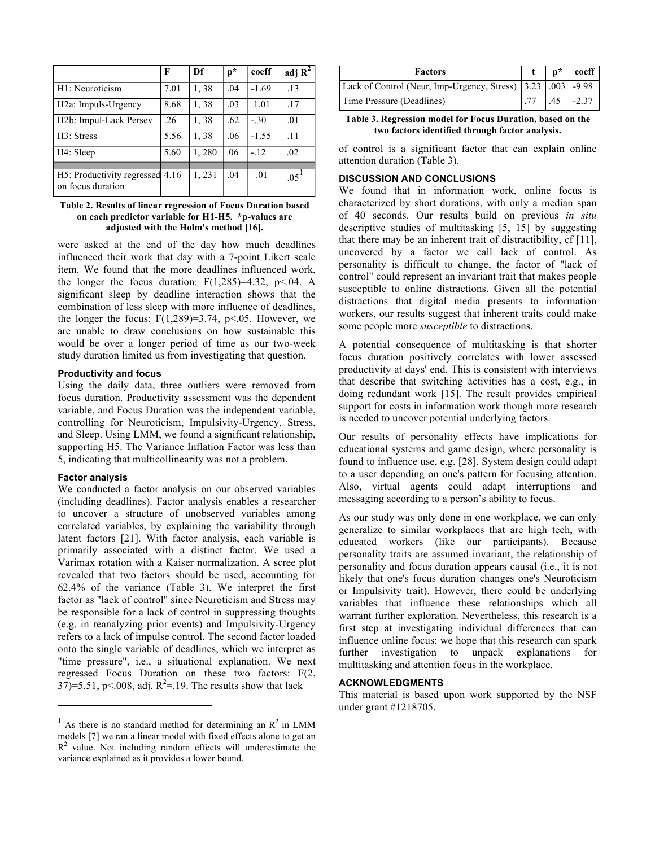|                                                                   | F    | Df    | p*  | coeff   | adj $R^2$ |
|-------------------------------------------------------------------|------|-------|-----|---------|-----------|
| H1: Neuroticism                                                   | 7.01 | 1,38  | .04 | $-1.69$ | .13       |
| H <sub>2</sub> a: Impuls-Urgency                                  | 8.68 | 1,38  | .03 | 1.01    | .17       |
| H2b: Impul-Lack Persev                                            | .26  | 1,38  | .62 | $-.30$  | .01       |
| H3: Stress                                                        | 5.56 | 1.38  | .06 | $-1.55$ | .11       |
| H4: Sleep                                                         | 5.60 | 1,280 | .06 | $-12$   | .02       |
|                                                                   |      |       |     |         |           |
| H <sub>5</sub> : Productivity regressed 4.16<br>on focus duration |      | 1,231 | .04 | .01     | .05       |

#### **Table 2. Results of linear regression of Focus Duration based on each predictor variable for H1-H5. \*p-values are adjusted with the Holm's method [16].**

were asked at the end of the day how much deadlines influenced their work that day with a 7-point Likert scale item. We found that the more deadlines influenced work, the longer the focus duration:  $F(1,285)=4.32$ ,  $p<0.04$ . A significant sleep by deadline interaction shows that the combination of less sleep with more influence of deadlines, the longer the focus:  $F(1,289)=3.74$ ,  $p<.05$ . However, we are unable to draw conclusions on how sustainable this would be over a longer period of time as our two-week study duration limited us from investigating that question.

#### **Productivity and focus**

Using the daily data, three outliers were removed from focus duration. Productivity assessment was the dependent variable, and Focus Duration was the independent variable, controlling for Neuroticism, Impulsivity-Urgency, Stress, and Sleep. Using LMM, we found a significant relationship, supporting H5. The Variance Inflation Factor was less than 5, indicating that multicollinearity was not a problem.

#### **Factor analysis**

 $\overline{a}$ 

We conducted a factor analysis on our observed variables (including deadlines). Factor analysis enables a researcher to uncover a structure of unobserved variables among correlated variables, by explaining the variability through latent factors [21]. With factor analysis, each variable is primarily associated with a distinct factor. We used a Varimax rotation with a Kaiser normalization. A scree plot revealed that two factors should be used, accounting for 62.4% of the variance (Table 3). We interpret the first factor as "lack of control" since Neuroticism and Stress may be responsible for a lack of control in suppressing thoughts (e.g. in reanalyzing prior events) and Impulsivity-Urgency refers to a lack of impulse control. The second factor loaded onto the single variable of deadlines, which we interpret as "time pressure", i.e., a situational explanation. We next regressed Focus Duration on these two factors: F(2, 37 $=$ 5.51, p<.008, adj. R<sup>2</sup>=.19. The results show that lack

| <b>Factors</b>                                              |              | $p^*$ coeff |
|-------------------------------------------------------------|--------------|-------------|
| Lack of Control (Neur, Imp-Urgency, Stress) 3.23 .003 -9.98 |              |             |
| Time Pressure (Deadlines)                                   | $-45 - 2.37$ |             |

**Table 3. Regression model for Focus Duration, based on the two factors identified through factor analysis.**

of control is a significant factor that can explain online attention duration (Table 3).

#### **DISCUSSION AND CONCLUSIONS**

We found that in information work, online focus is characterized by short durations, with only a median span of 40 seconds. Our results build on previous *in situ* descriptive studies of multitasking [5, 15] by suggesting that there may be an inherent trait of distractibility, cf [11], uncovered by a factor we call lack of control. As personality is difficult to change, the factor of "lack of control" could represent an invariant trait that makes people susceptible to online distractions. Given all the potential distractions that digital media presents to information workers, our results suggest that inherent traits could make some people more *susceptible* to distractions.

A potential consequence of multitasking is that shorter focus duration positively correlates with lower assessed productivity at days' end. This is consistent with interviews that describe that switching activities has a cost, e.g., in doing redundant work [15]. The result provides empirical support for costs in information work though more research is needed to uncover potential underlying factors.

Our results of personality effects have implications for educational systems and game design, where personality is found to influence use, e.g. [28]. System design could adapt to a user depending on one's pattern for focusing attention. Also, virtual agents could adapt interruptions and messaging according to a person's ability to focus.

As our study was only done in one workplace, we can only generalize to similar workplaces that are high tech, with educated workers (like our participants). Because personality traits are assumed invariant, the relationship of personality and focus duration appears causal (i.e., it is not likely that one's focus duration changes one's Neuroticism or Impulsivity trait). However, there could be underlying variables that influence these relationships which all warrant further exploration. Nevertheless, this research is a first step at investigating individual differences that can influence online focus; we hope that this research can spark further investigation to unpack explanations for multitasking and attention focus in the workplace.

## **ACKNOWLEDGMENTS**

This material is based upon work supported by the NSF under grant #1218705.

<sup>&</sup>lt;sup>1</sup> As there is no standard method for determining an  $R^2$  in LMM models [7] we ran a linear model with fixed effects alone to get an  $R<sup>2</sup>$  value. Not including random effects will underestimate the variance explained as it provides a lower bound.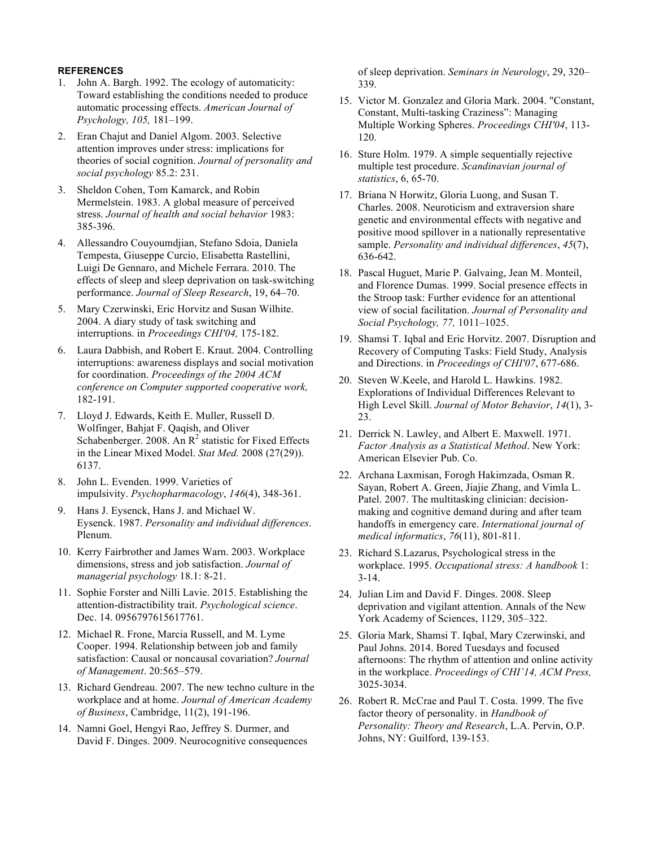## **REFERENCES**

- 1. John A. Bargh. 1992. The ecology of automaticity: Toward establishing the conditions needed to produce automatic processing effects. *American Journal of Psychology, 105,* 181–199.
- 2. Eran Chajut and Daniel Algom. 2003. Selective attention improves under stress: implications for theories of social cognition. *Journal of personality and social psychology* 85.2: 231.
- 3. Sheldon Cohen, Tom Kamarck, and Robin Mermelstein. 1983. A global measure of perceived stress. *Journal of health and social behavior* 1983: 385-396.
- 4. Allessandro Couyoumdjian, Stefano Sdoia, Daniela Tempesta, Giuseppe Curcio, Elisabetta Rastellini, Luigi De Gennaro, and Michele Ferrara. 2010. The effects of sleep and sleep deprivation on task-switching performance. *Journal of Sleep Research*, 19, 64–70.
- 5. Mary Czerwinski, Eric Horvitz and Susan Wilhite. 2004. A diary study of task switching and interruptions. in *Proceedings CHI'04,* 175-182.
- 6. Laura Dabbish, and Robert E. Kraut. 2004. Controlling interruptions: awareness displays and social motivation for coordination. *Proceedings of the 2004 ACM conference on Computer supported cooperative work,*  182-191.
- 7. Lloyd J. Edwards, Keith E. Muller, Russell D. Wolfinger, Bahjat F. Qaqish, and Oliver Schabenberger. 2008. An  $R^2$  statistic for Fixed Effects in the Linear Mixed Model. *Stat Med.* 2008 (27(29)). 6137.
- 8. John L. Evenden. 1999. Varieties of impulsivity. *Psychopharmacology*, *146*(4), 348-361.
- 9. Hans J. Eysenck, Hans J. and Michael W. Eysenck. 1987. *Personality and individual differences*. Plenum.
- 10. Kerry Fairbrother and James Warn. 2003. Workplace dimensions, stress and job satisfaction. *Journal of managerial psychology* 18.1: 8-21.
- 11. Sophie Forster and Nilli Lavie. 2015. Establishing the attention-distractibility trait. *Psychological science*. Dec. 14. 0956797615617761.
- 12. Michael R. Frone, Marcia Russell, and M. Lyme Cooper. 1994. Relationship between job and family satisfaction: Causal or noncausal covariation? *Journal of Management*. 20:565–579.
- 13. Richard Gendreau. 2007. The new techno culture in the workplace and at home. *Journal of American Academy of Business*, Cambridge, 11(2), 191-196.
- 14. Namni Goel, Hengyi Rao, Jeffrey S. Durmer, and David F. Dinges. 2009. Neurocognitive consequences

of sleep deprivation. *Seminars in Neurology*, 29, 320– 339.

- 15. Victor M. Gonzalez and Gloria Mark. 2004. "Constant, Constant, Multi-tasking Craziness": Managing Multiple Working Spheres. *Proceedings CHI'04*, 113- 120.
- 16. Sture Holm. 1979. A simple sequentially rejective multiple test procedure. *Scandinavian journal of statistics*, 6, 65-70.
- 17. Briana N Horwitz, Gloria Luong, and Susan T. Charles. 2008. Neuroticism and extraversion share genetic and environmental effects with negative and positive mood spillover in a nationally representative sample. *Personality and individual differences*, *45*(7), 636-642.
- 18. Pascal Huguet, Marie P. Galvaing, Jean M. Monteil, and Florence Dumas. 1999. Social presence effects in the Stroop task: Further evidence for an attentional view of social facilitation. *Journal of Personality and Social Psychology, 77,* 1011–1025.
- 19. Shamsi T. Iqbal and Eric Horvitz. 2007. Disruption and Recovery of Computing Tasks: Field Study, Analysis and Directions. in *Proceedings of CHI'07*, 677-686.
- 20. Steven W.Keele, and Harold L. Hawkins. 1982. Explorations of Individual Differences Relevant to High Level Skill. *Journal of Motor Behavior*, *14*(1), 3- 23.
- 21. Derrick N. Lawley, and Albert E. Maxwell. 1971. *Factor Analysis as a Statistical Method*. New York: American Elsevier Pub. Co.
- 22. Archana Laxmisan, Forogh Hakimzada, Osman R. Sayan, Robert A. Green, Jiajie Zhang, and Vimla L. Patel. 2007. The multitasking clinician: decisionmaking and cognitive demand during and after team handoffs in emergency care. *International journal of medical informatics*, *76*(11), 801-811.
- 23. Richard S.Lazarus, Psychological stress in the workplace. 1995. *Occupational stress: A handbook* 1: 3-14.
- 24. Julian Lim and David F. Dinges. 2008. Sleep deprivation and vigilant attention. Annals of the New York Academy of Sciences, 1129, 305–322.
- 25. Gloria Mark, Shamsi T. Iqbal, Mary Czerwinski, and Paul Johns. 2014. Bored Tuesdays and focused afternoons: The rhythm of attention and online activity in the workplace. *Proceedings of CHI'14, ACM Press,*  3025-3034.
- 26. Robert R. McCrae and Paul T. Costa. 1999. The five factor theory of personality. in *Handbook of Personality: Theory and Research*, L.A. Pervin, O.P. Johns, NY: Guilford, 139-153.